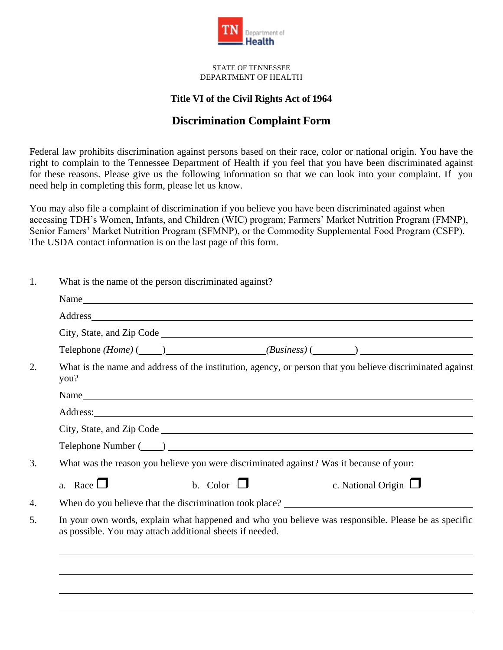

STATE OF TENNESSEE DEPARTMENT OF HEALTH

## **Title VI of the Civil Rights Act of 1964**

## **Discrimination Complaint Form**

Federal law prohibits discrimination against persons based on their race, color or national origin. You have the right to complain to the Tennessee Department of Health if you feel that you have been discriminated against for these reasons. Please give us the following information so that we can look into your complaint. If you need help in completing this form, please let us know.

You may also file a complaint of discrimination if you believe you have been discriminated against when accessing TDH's Women, Infants, and Children (WIC) program; Farmers' Market Nutrition Program (FMNP), Senior Famers' Market Nutrition Program (SFMNP), or the Commodity Supplemental Food Program (CSFP). The USDA contact information is on the last page of this form.

| What is the name of the person discriminated against?                                                                                                                                                                          |  |  |
|--------------------------------------------------------------------------------------------------------------------------------------------------------------------------------------------------------------------------------|--|--|
| Name                                                                                                                                                                                                                           |  |  |
| Address and the contract of the contract of the contract of the contract of the contract of the contract of the contract of the contract of the contract of the contract of the contract of the contract of the contract of th |  |  |
|                                                                                                                                                                                                                                |  |  |
| Telephone $(Home)$ ( $\qquad)$ $(Business)$ $\qquad)$                                                                                                                                                                          |  |  |
| What is the name and address of the institution, agency, or person that you believe discriminated against<br>you?                                                                                                              |  |  |
| Name                                                                                                                                                                                                                           |  |  |
|                                                                                                                                                                                                                                |  |  |
|                                                                                                                                                                                                                                |  |  |
| Telephone Number (Call 2020)                                                                                                                                                                                                   |  |  |
| What was the reason you believe you were discriminated against? Was it because of your:                                                                                                                                        |  |  |
| a. Race $\Box$<br>b. Color $\Box$<br>c. National Origin $\Box$                                                                                                                                                                 |  |  |
| When do you believe that the discrimination took place?                                                                                                                                                                        |  |  |
| In your own words, explain what happened and who you believe was responsible. Please be as specific<br>as possible. You may attach additional sheets if needed.                                                                |  |  |
|                                                                                                                                                                                                                                |  |  |
|                                                                                                                                                                                                                                |  |  |
|                                                                                                                                                                                                                                |  |  |
|                                                                                                                                                                                                                                |  |  |
|                                                                                                                                                                                                                                |  |  |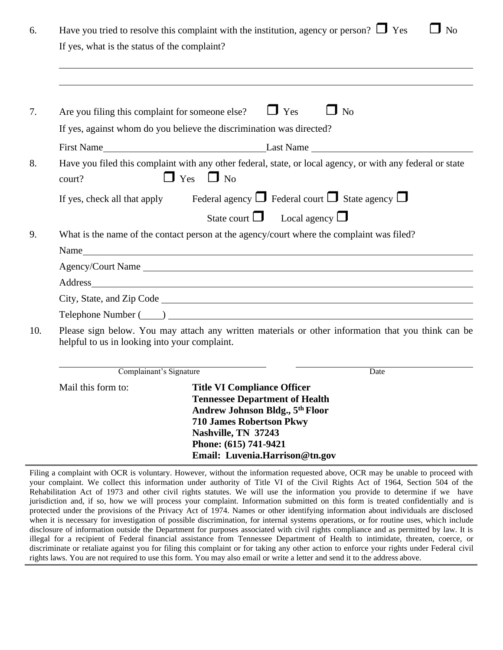| 6.  | Have you tried to resolve this complaint with the institution, agency or person? $\Box$ Yes<br>$\Box$ No                                                                                                                       |                                                                                                                                                   |  |
|-----|--------------------------------------------------------------------------------------------------------------------------------------------------------------------------------------------------------------------------------|---------------------------------------------------------------------------------------------------------------------------------------------------|--|
|     | If yes, what is the status of the complaint?                                                                                                                                                                                   |                                                                                                                                                   |  |
|     |                                                                                                                                                                                                                                |                                                                                                                                                   |  |
|     |                                                                                                                                                                                                                                |                                                                                                                                                   |  |
| 7.  | Are you filing this complaint for someone else?                                                                                                                                                                                | $\Box$ Yes<br>$\Box$ No                                                                                                                           |  |
|     | If yes, against whom do you believe the discrimination was directed?                                                                                                                                                           |                                                                                                                                                   |  |
|     |                                                                                                                                                                                                                                | First Name Last Name Last Name                                                                                                                    |  |
| 8.  | court?                                                                                                                                                                                                                         | Have you filed this complaint with any other federal, state, or local agency, or with any federal or state<br>$\Box$ Yes $\Box$ No                |  |
|     |                                                                                                                                                                                                                                | If yes, check all that apply Federal agency $\Box$ Federal court $\Box$ State agency $\Box$                                                       |  |
|     |                                                                                                                                                                                                                                | State court $\Box$ Local agency $\Box$                                                                                                            |  |
| 9.  | What is the name of the contact person at the agency/court where the complaint was filed?                                                                                                                                      |                                                                                                                                                   |  |
|     |                                                                                                                                                                                                                                |                                                                                                                                                   |  |
|     |                                                                                                                                                                                                                                | Agency/Court Name                                                                                                                                 |  |
|     | Address and the contract of the contract of the contract of the contract of the contract of the contract of the contract of the contract of the contract of the contract of the contract of the contract of the contract of th |                                                                                                                                                   |  |
|     |                                                                                                                                                                                                                                |                                                                                                                                                   |  |
|     |                                                                                                                                                                                                                                |                                                                                                                                                   |  |
| 10. | Please sign below. You may attach any written materials or other information that you think can be<br>helpful to us in looking into your complaint.                                                                            |                                                                                                                                                   |  |
|     | Complainant's Signature                                                                                                                                                                                                        | Date                                                                                                                                              |  |
|     | Mail this form to:                                                                                                                                                                                                             | <b>Title VI Compliance Officer</b><br><b>Tennessee Department of Health</b><br>Andrew Johnson Bldg., 5th Floor<br><b>710 James Robertson Pkwy</b> |  |

**Phone: (615) 741-9421 Email: [Luvenia.Harrison@tn.gov](mailto:Luvenia.Harrison@tn.gov)**

**Nashville, TN 37243**

Filing a complaint with OCR is voluntary. However, without the information requested above, OCR may be unable to proceed with your complaint. We collect this information under authority of Title VI of the Civil Rights Act of 1964, Section 504 of the Rehabilitation Act of 1973 and other civil rights statutes. We will use the information you provide to determine if we have jurisdiction and, if so, how we will process your complaint. Information submitted on this form is treated confidentially and is protected under the provisions of the Privacy Act of 1974. Names or other identifying information about individuals are disclosed when it is necessary for investigation of possible discrimination, for internal systems operations, or for routine uses, which include disclosure of information outside the Department for purposes associated with civil rights compliance and as permitted by law. It is illegal for a recipient of Federal financial assistance from Tennessee Department of Health to intimidate, threaten, coerce, or discriminate or retaliate against you for filing this complaint or for taking any other action to enforce your rights under Federal civil rights laws. You are not required to use this form. You may also email or write a letter and send it to the address above.